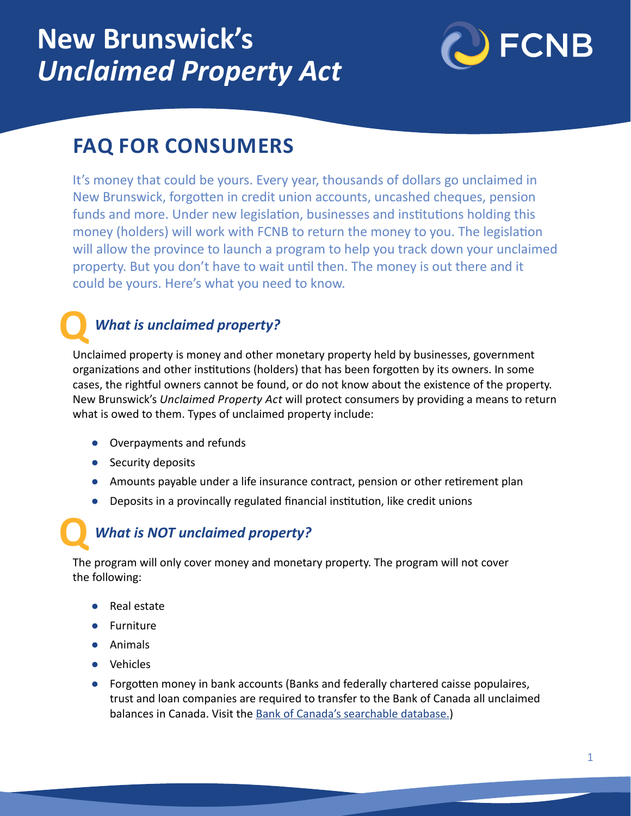# **New Brunswick's**  *Unclaimed Property Act*



# **FAQ FOR CONSUMERS**

It's money that could be yours. Every year, thousands of dollars go unclaimed in New Brunswick, forgotten in credit union accounts, uncashed cheques, pension funds and more. Under new legislation, businesses and institutions holding this money (holders) will work with FCNB to return the money to you. The legislation will allow the province to launch a program to help you track down your unclaimed property. But you don't have to wait until then. The money is out there and it could be yours. Here's what you need to know.

## *What is unclaimed property?*

**Q** Unclaimed property is money and other monetary property held by businesses, government organizations and other institutions (holders) that has been forgotten by its owners. In some cases, the rightful owners cannot be found, or do not know about the existence of the property. New Brunswick's *Unclaimed Property Act* will protect consumers by providing a means to return what is owed to them. Types of unclaimed property include:

- **●** Overpayments and refunds
- **●** Security deposits
- **●** Amounts payable under a life insurance contract, pension or other retirement plan
- **●** Deposits in a provincally regulated financial institution, like credit unions

## *What is NOT unclaimed property?*

**Q** The program will only cover money and monetary property. The program will not cover the following:

- **●** Real estate
- **●** Furniture
- **●** Animals
- **●** Vehicles
- **●** Forgotten money in bank accounts (Banks and federally chartered caisse populaires, trust and loan companies are required to transfer to the Bank of Canada all unclaimed balances in Canada. Visit the [Bank of Canada's searchable database](https://www.bankofcanada.ca/unclaimed-balances/).)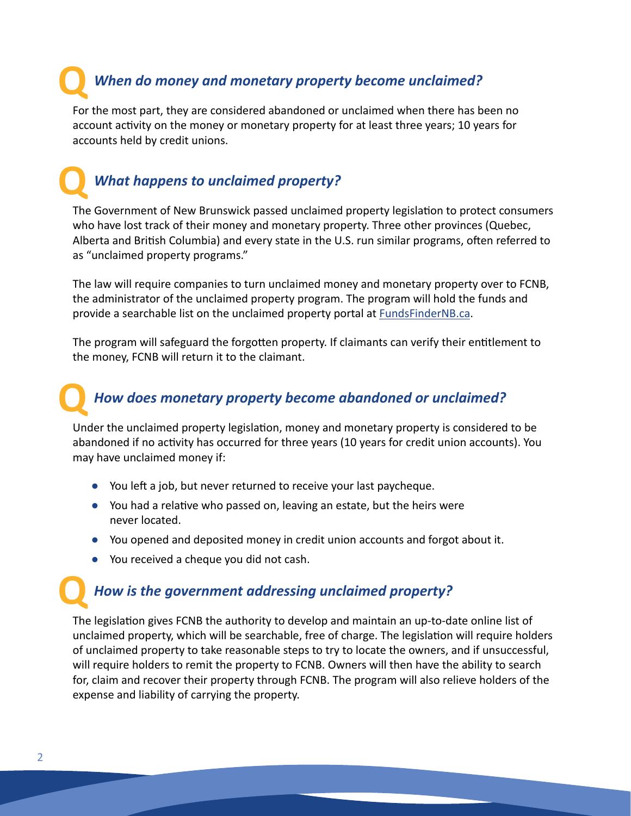# **Q** *When do money and monetary property become unclaimed?*

For the most part, they are considered abandoned or unclaimed when there has been no account activity on the money or monetary property for at least three years; 10 years for accounts held by credit unions.

# **Q** *What happens to unclaimed property?*

The Government of New Brunswick passed unclaimed property legislation to protect consumers who have lost track of their money and monetary property. Three other provinces (Quebec, Alberta and British Columbia) and every state in the U.S. run similar programs, often referred to as "unclaimed property programs."

The law will require companies to turn unclaimed money and monetary property over to FCNB, the administrator of the unclaimed property program. The program will hold the funds and provide a searchable list on the unclaimed property portal at [FundsFinderNB.ca](http://FundsFinderNB.ca).

The program will safeguard the forgotten property. If claimants can verify their entitlement to the money, FCNB will return it to the claimant.

## *How does monetary property become abandoned or unclaimed?*

**Q** Under the unclaimed property legislation, money and monetary property is considered to be abandoned if no activity has occurred for three years (10 years for credit union accounts). You may have unclaimed money if:

- **●** You left a job, but never returned to receive your last paycheque.
- **●** You had a relative who passed on, leaving an estate, but the heirs were never located.
- **●** You opened and deposited money in credit union accounts and forgot about it.
- **●** You received a cheque you did not cash.

#### *How is the government addressing unclaimed property?*

**Q** The legislation gives FCNB the authority to develop and maintain an up-to-date online list of unclaimed property, which will be searchable, free of charge. The legislation will require holders of unclaimed property to take reasonable steps to try to locate the owners, and if unsuccessful, will require holders to remit the property to FCNB. Owners will then have the ability to search for, claim and recover their property through FCNB. The program will also relieve holders of the expense and liability of carrying the property.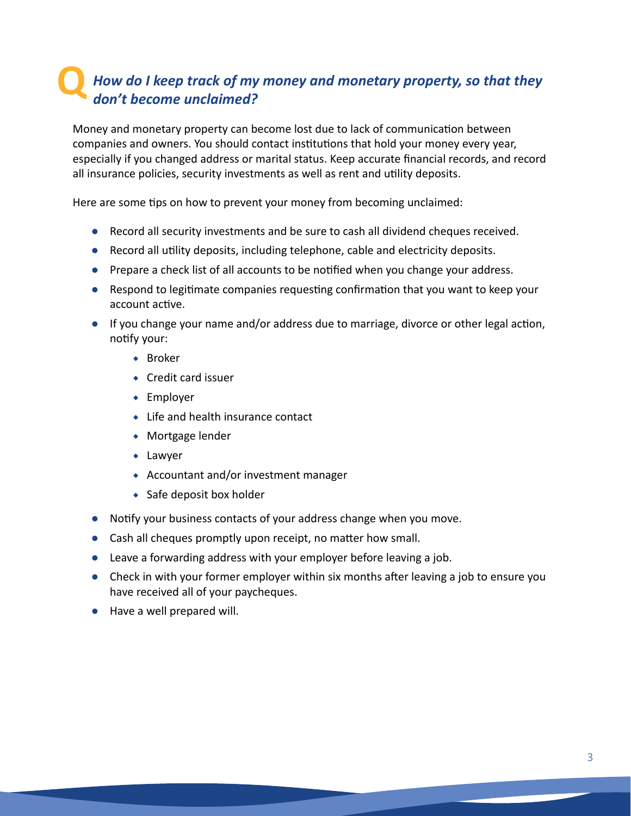## **Q***How do I keep track of my money and monetary property, so that they don't become unclaimed?*

Money and monetary property can become lost due to lack of communication between companies and owners. You should contact institutions that hold your money every year, especially if you changed address or marital status. Keep accurate financial records, and record all insurance policies, security investments as well as rent and utility deposits.

Here are some tips on how to prevent your money from becoming unclaimed:

- **●** Record all security investments and be sure to cash all dividend cheques received.
- **●** Record all utility deposits, including telephone, cable and electricity deposits.
- **●** Prepare a check list of all accounts to be notified when you change your address.
- **●** Respond to legitimate companies requesting confirmation that you want to keep your account active.
- **●** If you change your name and/or address due to marriage, divorce or other legal action, notify your:
	- ◆ Broker
	- ◆ Credit card issuer
	- ◆ Employer
	- ◆ Life and health insurance contact
	- ◆ Mortgage lender
	- ◆ Lawyer
	- ◆ Accountant and/or investment manager
	- ◆ Safe deposit box holder
- **●** Notify your business contacts of your address change when you move.
- **●** Cash all cheques promptly upon receipt, no matter how small.
- **●** Leave a forwarding address with your employer before leaving a job.
- **●** Check in with your former employer within six months after leaving a job to ensure you have received all of your paycheques.
- **●** Have a well prepared will.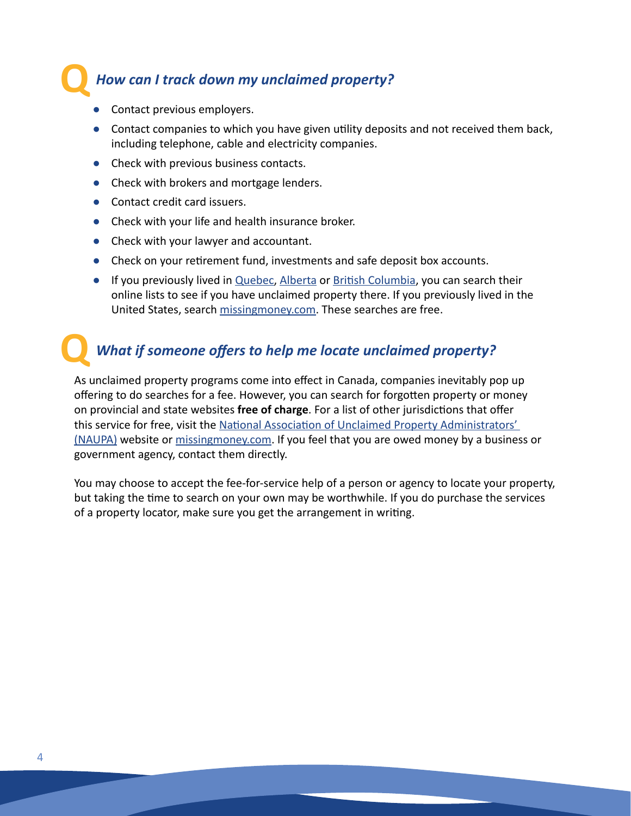#### *How can I track down my unclaimed property?*

**●** Contact previous employers.

**Q**

- **●** Contact companies to which you have given utility deposits and not received them back, including telephone, cable and electricity companies.
- **●** Check with previous business contacts.
- **●** Check with brokers and mortgage lenders.
- **●** Contact credit card issuers.
- **●** Check with your life and health insurance broker.
- **●** Check with your lawyer and accountant.
- **●** Check on your retirement fund, investments and safe deposit box accounts.
- **•** If you previously lived in [Quebec](https://www.revenuquebec.ca/en/unclaimed-property/), [Alberta](https://unclaimedproperty.alberta.ca/publicTracs/searchUnclaimedProperty.do?event=init) or [British Columbia](https://unclaimedpropertybc.ca/searchp/search/), you can search their online lists to see if you have unclaimed property there. If you previously lived in the United States, search [missingmoney.com.](https://missingmoney.com/en/) These searches are free.

# **Q** *What if someone offers to help me locate unclaimed property?*

As unclaimed property programs come into effect in Canada, companies inevitably pop up offering to do searches for a fee. However, you can search for forgotten property or money on provincial and state websites **free of charge**. For a list of other jurisdictions that offer this service for free, visit the National Association of Unclaimed Property Administrators' [\(NAUPA\)](https://unclaimed.org/) website or [missingmoney.com](https://missingmoney.com/en/). If you feel that you are owed money by a business or government agency, contact them directly.

You may choose to accept the fee-for-service help of a person or agency to locate your property, but taking the time to search on your own may be worthwhile. If you do purchase the services of a property locator, make sure you get the arrangement in writing.